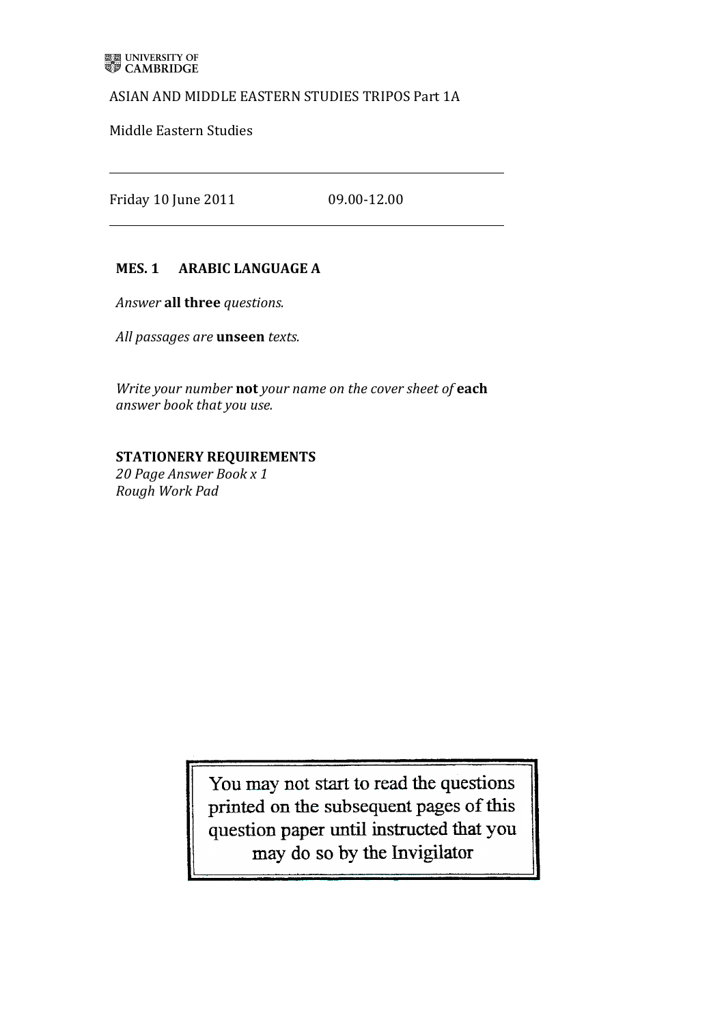## ASIAN AND MIDDLE EASTERN STUDIES TRIPOS Part 1A

Middle Eastern Studies

Friday 10 June 2011 09.00-12.00

## **MES. 1 ARABIC LANGUAGE A**

Answer **all three** questions.

*All passages* are **unseen** texts.

*Write your number* not your name on the cover sheet of each *answer book that'you'use.*

## **STATIONERY REQUIREMENTS**

*20'Page'Answer'Book'x'1 Rough'Work'Pad*

> You may not start to read the questions printed on the subsequent pages of this question paper until instructed that you may do so by the Invigilator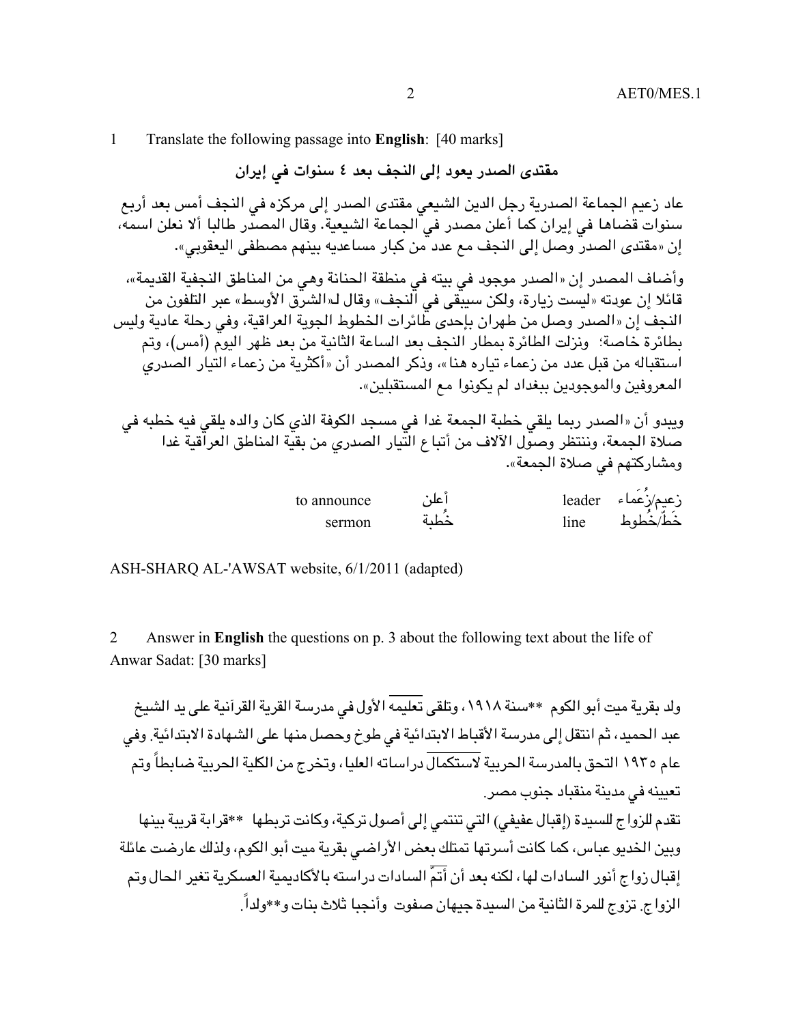1 Translate the following passage into **English**: [40 marks]

**مقتدى الصدر يعود إلى النجف بعد ٤ سنوات في إيران**

عاد زعيم الجماعة الصدرية رجل الدين الشيعي مقتدى الصدر إلى مركزه في النجف أمس بعد أربع سنوات قضاها في إيران كما أعلن مصدر في الجماعة الشيعية. وقال المصدر طالبا ألا نعلن اسمه، إن «مقتدى الصدر وصل إلى النجف مع عدد من كبار مساعديه بينهم مصطفى اليعقوبي».

وأضاف المصدر إن «الصدر موجود في بيته في منطقة الحنانة وهي من المناطق النجفية القديمة»، قائلا إن عودته «ليست زيارة، ولكن سيبقى في النجف» وقال لـ«الشرق الأوسط» عبر التلفون من النجف إن «الصدر وصل من طهران بإحدى طائرات الخطوط الجوية العراقية، وفي رحلة عادية وليس بطائرة خاصة؛ ونزلت الطائرة بمطار النجف بعد الساعة الثانية من بعد ظهر اليوم (أمس)، وتم استقباله من قبل عدد من زعماء تياره هنا»، وذكر المصدر أن «أكثرية من زعماء التيار الصدري المعروفين والموجودين ببغداد لم يكونوا مع المستقبلين».

ويبدو أن «الصدر ربما يلقي خطبة الجمعة غدا في مسجد الكوفة الذي كان والده يلقي فيه خطبه في صلاة الجمعة، وننتظر وصول الآلاف من أتباع التيار الصدري من بقية المناطق العراقية غدا ومشاركتهم في صلاة الجمعة».

| to announce | ⊾،' | leader            | زعيم⁄زعماء |
|-------------|-----|-------------------|------------|
| sermon      | ∽   | l <sub>1</sub> ne | خط/خطوط    |

ASH-SHARQ AL-'AWSAT website, 6/1/2011 (adapted)

2 Answer in **English** the questions on p. 3 about the following text about the life of Anwar Sadat: [30 marks]

ولد بقرية ميت أبو الكوم \*\*سنة ١٩١٨، وتلقى تعليمه الأول في مدرسة القرية القرآنية على يد الشيخ عبد الحميد، ثم انتقل إلى مدرسة الأقباط الابتدائية في طوخ وحصل منها على الشهادة الابتدائية. وفي عام ۱۹۳٥ التحق بالمدرسة الحربية لاستكمال دراساته العليا، وتخرج من الكلية الحربية ضابطاً وتم تعيينه في مدينة منقباد جنوب مصر.

تقدم للزواج للسيدة (إقبال عفيفي) التي تنتمي إلى أصول تركية، وكانت تربطها \*\*قرابة قريبة بينها وبين الخديو عباس، كما كانت أسرتها تمتلك بعض الأراضي بقرية ميت أبو الكوم، ولذلك عارضت عائلة إقبال زواج أنور السادات لها، لكنه بعد أن أتمّ السادات دراسته بالأكاديمية العسكرية تغير الحال وتم الزواج. تزوج للمرة الثانية من السيدة جيهان صفوت وأنجبا ثلاث بنات و\*\*ولدا.ً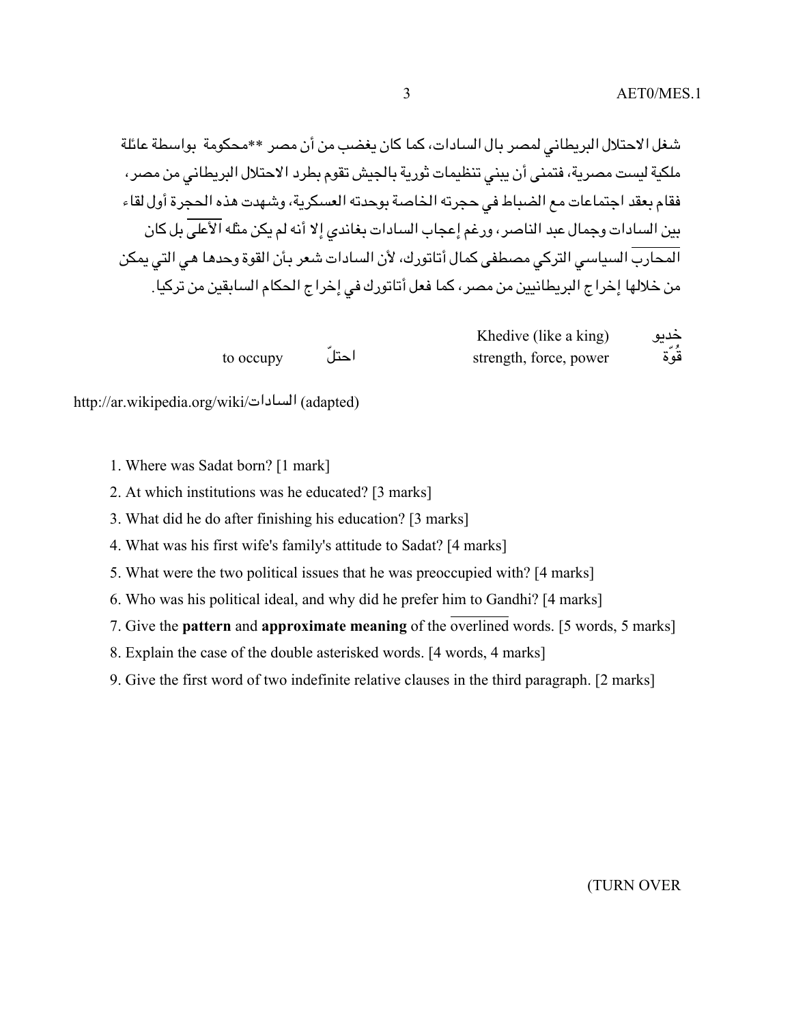شغل الاحتلال البريطاني لمصر بال السادات، كما كان يغضب من أن مصر \*\*محكومة بواسطة عائلة ملكية ليست مصرية، فتمنى أن يبني تنظيمات ثورية بالجيش تقوم بطرد الاحتلال البريطاني من مصر، فقام بعقد اجتماعات مع الضباط في حجرته الخاصة بوحدته العسكرية، وشهدت هذه الحجرة أول لقاء بين السادات وجمال عبد الناصر، ورغم إعجاب السادات بغاندي إلا أنه لم يكن مثله الأعلى بل كان المحارب السياسي التركي مصطفى كمال أتاتورك، لأن السادات شعر بأن القوة وحدها هي التي يمكن من خلالها إخراج البريطانيين من مصر، كما فعل أتاتورك في إخراج الحكام السابقين من تركيا.

|           |      | Khedive (like a king)  | حدىق |
|-----------|------|------------------------|------|
| to occupy | احتل | strength, force, power | قوة  |

http://ar.wikipedia.org/wiki/السادات) adapted)

- 1. Where was Sadat born? [1 mark]
- 2. At which institutions was he educated? [3 marks]
- 3. What did he do after finishing his education? [3 marks]
- 4. What was his first wife's family's attitude to Sadat? [4 marks]
- 5. What were the two political issues that he was preoccupied with? [4 marks]
- 6. Who was his political ideal, and why did he prefer him to Gandhi? [4 marks]
- 7. Give the **pattern** and **approximate meaning** of the overlined words. [5 words, 5 marks]
- 8. Explain the case of the double asterisked words. [4 words, 4 marks]
- 9. Give the first word of two indefinite relative clauses in the third paragraph. [2 marks]

(TURN OVER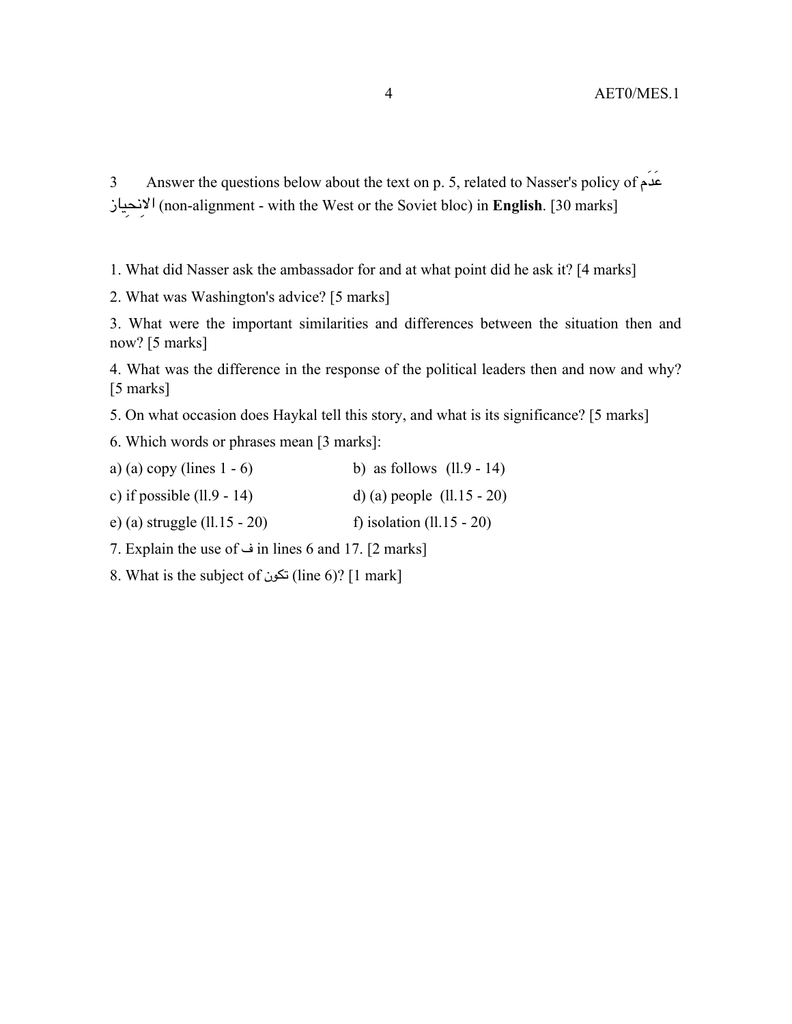3 Answer the questions below about the text on p. 5, related to Nasser's policy of مَدَع يازِنحِالا) non-alignment - with the West or the Soviet bloc) in **English**. [30 marks]

1. What did Nasser ask the ambassador for and at what point did he ask it? [4 marks]

2. What was Washington's advice? [5 marks]

3. What were the important similarities and differences between the situation then and now? [5 marks]

4. What was the difference in the response of the political leaders then and now and why? [5 marks]

5. On what occasion does Haykal tell this story, and what is its significance? [5 marks]

6. Which words or phrases mean [3 marks]:

- a) (a) copy (lines  $1 6$ ) b) as follows (ll.9 14)
- c) if possible  $(11.9 14)$  d) (a) people  $(11.15 20)$

e) (a) struggle  $(11.15 - 20)$  f) isolation  $(11.15 - 20)$ 

7. Explain the use of ف in lines 6 and 17. [2 marks]

8. What is the subject of  $\approx$  (line 6)? [1 mark]